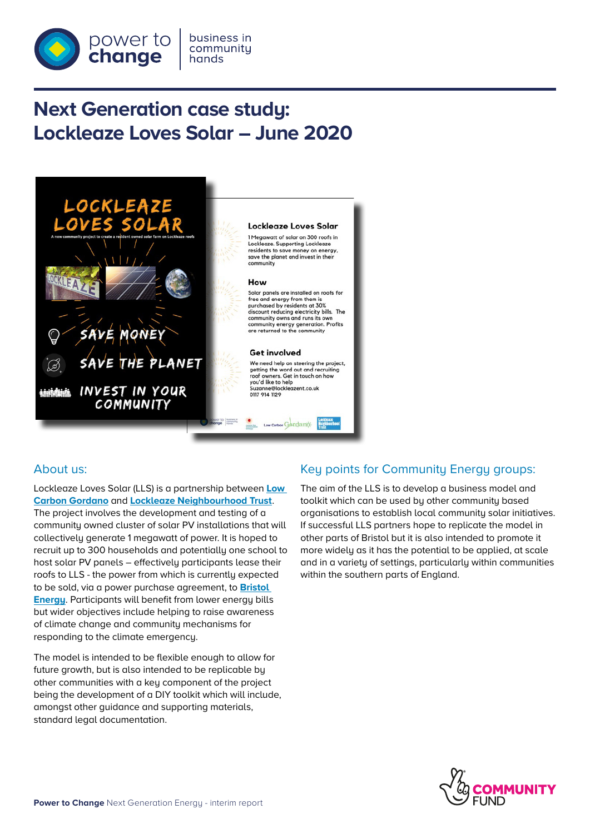

# **Next Generation case study: Lockleaze Loves Solar – June 2020**



## About us:

Lockleaze Loves Solar (LLS) is a partnership between **[Low](http://lowcarbongordano.co.uk/about/low-carbon-gordano/)  [Carbon Gordano](http://lowcarbongordano.co.uk/about/low-carbon-gordano/)** and **[Lockleaze Neighbourhood Trust](https://www.next-generation.org.uk/grants)**. The project involves the development and testing of a community owned cluster of solar PV installations that will collectively generate 1 megawatt of power. It is hoped to recruit up to 300 households and potentially one school to host solar PV panels – effectively participants lease their roofs to LLS - the power from which is currently expected to be sold, via a power purchase agreement, to **[Bristol](https://www.bristol-energy.co.uk)  [Energy](https://www.bristol-energy.co.uk)**. Participants will benefit from lower energy bills but wider objectives include helping to raise awareness of climate change and community mechanisms for responding to the climate emergency.

The model is intended to be flexible enough to allow for future growth, but is also intended to be replicable by other communities with a key component of the project being the development of a DIY toolkit which will include, amongst other guidance and supporting materials, standard legal documentation.

## Key points for Community Energy groups:

The aim of the LLS is to develop a business model and toolkit which can be used by other community based organisations to establish local community solar initiatives. If successful LLS partners hope to replicate the model in other parts of Bristol but it is also intended to promote it more widely as it has the potential to be applied, at scale and in a variety of settings, particularly within communities within the southern parts of England.

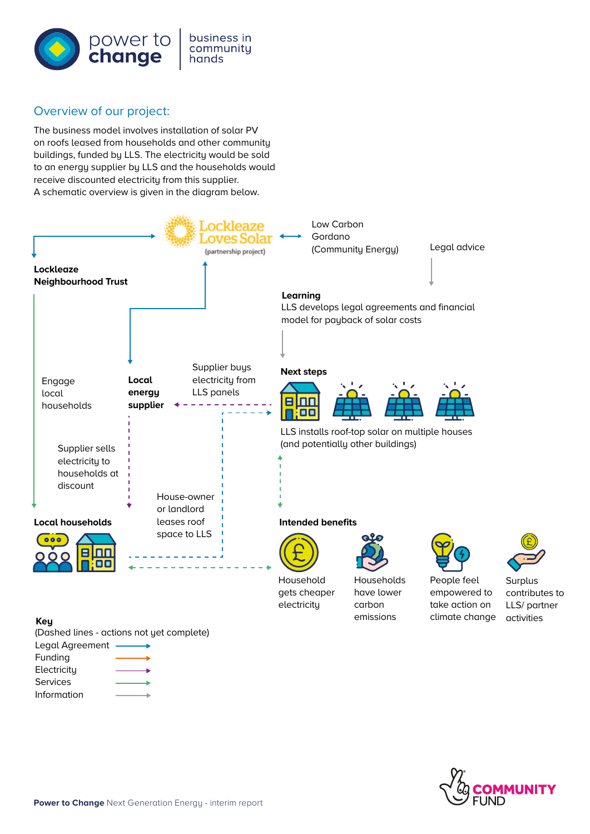

## Overview of our project:

The business model involves installation of solar PV on roofs leased from households and other community buildings, funded by LLS. The electricity would be sold to an energy supplier by LLS and the households would receive discounted electricity from this supplier. A schematic overview is given in the diagram below.



#### **Key**

(Dashed lines - actions not yet complete)

| Legal Agreement |  |
|-----------------|--|
| Funding         |  |
| Electricity     |  |
| Services        |  |
| Information     |  |



activities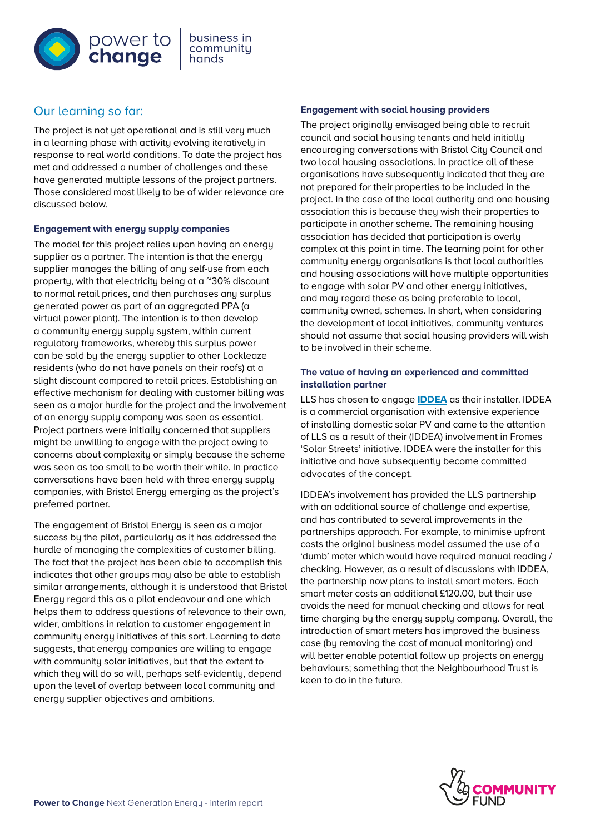

# Our learning so far:

The project is not yet operational and is still very much in a learning phase with activity evolving iteratively in response to real world conditions. To date the project has met and addressed a number of challenges and these have generated multiple lessons of the project partners. Those considered most likely to be of wider relevance are discussed below.

#### **Engagement with energy supply companies**

The model for this project relies upon having an energy supplier as a partner. The intention is that the energy supplier manages the billing of any self-use from each property, with that electricity being at a ~30% discount to normal retail prices, and then purchases any surplus generated power as part of an aggregated PPA (a virtual power plant). The intention is to then develop a community energy supply system, within current regulatory frameworks, whereby this surplus power can be sold by the energy supplier to other Lockleaze residents (who do not have panels on their roofs) at a slight discount compared to retail prices. Establishing an effective mechanism for dealing with customer billing was seen as a major hurdle for the project and the involvement of an energy supply company was seen as essential. Project partners were initially concerned that suppliers might be unwilling to engage with the project owing to concerns about complexity or simply because the scheme was seen as too small to be worth their while. In practice conversations have been held with three energy supply companies, with Bristol Energy emerging as the project's preferred partner.

The engagement of Bristol Energy is seen as a major success by the pilot, particularly as it has addressed the hurdle of managing the complexities of customer billing. The fact that the project has been able to accomplish this indicates that other groups may also be able to establish similar arrangements, although it is understood that Bristol Energy regard this as a pilot endeavour and one which helps them to address questions of relevance to their own, wider, ambitions in relation to customer engagement in community energy initiatives of this sort. Learning to date suggests, that energy companies are willing to engage with community solar initiatives, but that the extent to which they will do so will, perhaps self-evidently, depend upon the level of overlap between local community and energy supplier objectives and ambitions.

#### **Engagement with social housing providers**

The project originally envisaged being able to recruit council and social housing tenants and held initially encouraging conversations with Bristol City Council and two local housing associations. In practice all of these organisations have subsequently indicated that they are not prepared for their properties to be included in the project. In the case of the local authority and one housing association this is because they wish their properties to participate in another scheme. The remaining housing association has decided that participation is overly complex at this point in time. The learning point for other community energy organisations is that local authorities and housing associations will have multiple opportunities to engage with solar PV and other energy initiatives, and may regard these as being preferable to local, community owned, schemes. In short, when considering the development of local initiatives, community ventures should not assume that social housing providers will wish to be involved in their scheme.

#### **The value of having an experienced and committed installation partner**

LLS has chosen to engage **[IDDEA](https://www.iddea.co.uk/solar-installations/)** as their installer. IDDEA is a commercial organisation with extensive experience of installing domestic solar PV and came to the attention of LLS as a result of their (IDDEA) involvement in Fromes 'Solar Streets' initiative. IDDEA were the installer for this initiative and have subsequently become committed advocates of the concept.

IDDEA's involvement has provided the LLS partnership with an additional source of challenge and expertise, and has contributed to several improvements in the partnerships approach. For example, to minimise upfront costs the original business model assumed the use of a 'dumb' meter which would have required manual reading / checking. However, as a result of discussions with IDDEA, the partnership now plans to install smart meters. Each smart meter costs an additional £120.00, but their use avoids the need for manual checking and allows for real time charging by the energy supply company. Overall, the introduction of smart meters has improved the business case (by removing the cost of manual monitoring) and will better enable potential follow up projects on energy behaviours; something that the Neighbourhood Trust is keen to do in the future.